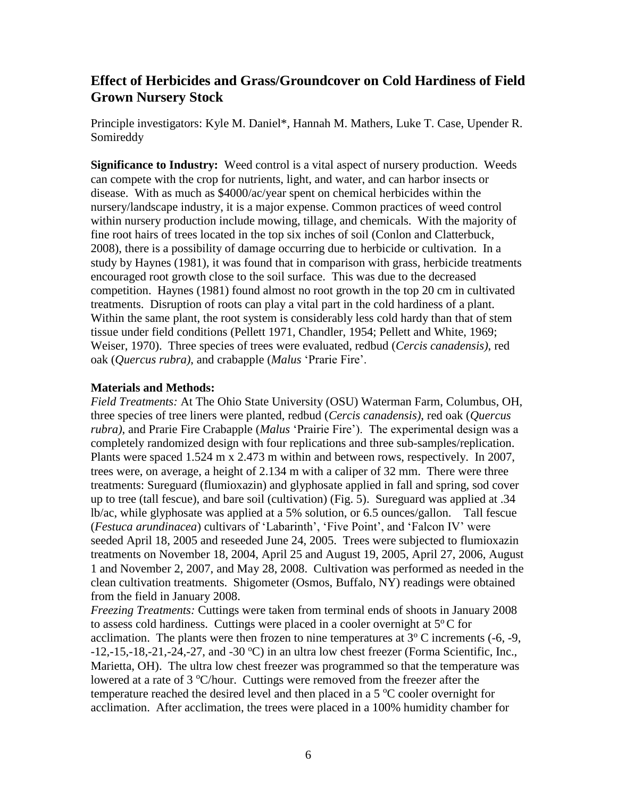## **Effect of Herbicides and Grass/Groundcover on Cold Hardiness of Field Grown Nursery Stock**

Principle investigators: Kyle M. Daniel\*, Hannah M. Mathers, Luke T. Case, Upender R. Somireddy

**Significance to Industry:** Weed control is a vital aspect of nursery production. Weeds can compete with the crop for nutrients, light, and water, and can harbor insects or disease. With as much as \$4000/ac/year spent on chemical herbicides within the nursery/landscape industry, it is a major expense. Common practices of weed control within nursery production include mowing, tillage, and chemicals. With the majority of fine root hairs of trees located in the top six inches of soil (Conlon and Clatterbuck*,*  2008), there is a possibility of damage occurring due to herbicide or cultivation. In a study by Haynes (1981), it was found that in comparison with grass, herbicide treatments encouraged root growth close to the soil surface. This was due to the decreased competition. Haynes (1981) found almost no root growth in the top 20 cm in cultivated treatments. Disruption of roots can play a vital part in the cold hardiness of a plant. Within the same plant, the root system is considerably less cold hardy than that of stem tissue under field conditions (Pellett 1971, Chandler, 1954; Pellett and White, 1969; Weiser, 1970). Three species of trees were evaluated, redbud (*Cercis canadensis)*, red oak (*Quercus rubra)*, and crabapple (*Malus* 'Prarie Fire'.

## **Materials and Methods:**

*Field Treatments:* At The Ohio State University (OSU) Waterman Farm, Columbus, OH, three species of tree liners were planted, redbud (*Cercis canadensis)*, red oak (*Quercus rubra)*, and Prarie Fire Crabapple (*Malus* 'Prairie Fire'). The experimental design was a completely randomized design with four replications and three sub-samples/replication. Plants were spaced 1.524 m x 2.473 m within and between rows, respectively. In 2007, trees were, on average, a height of 2.134 m with a caliper of 32 mm. There were three treatments: Sureguard (flumioxazin) and glyphosate applied in fall and spring, sod cover up to tree (tall fescue), and bare soil (cultivation) (Fig. 5). Sureguard was applied at .34 lb/ac, while glyphosate was applied at a 5% solution, or 6.5 ounces/gallon. Tall fescue (*Festuca arundinacea*) cultivars of 'Labarinth', 'Five Point', and 'Falcon IV' were seeded April 18, 2005 and reseeded June 24, 2005. Trees were subjected to flumioxazin treatments on November 18, 2004, April 25 and August 19, 2005, April 27, 2006, August 1 and November 2, 2007, and May 28, 2008. Cultivation was performed as needed in the clean cultivation treatments. Shigometer (Osmos, Buffalo, NY) readings were obtained from the field in January 2008.

*Freezing Treatments:* Cuttings were taken from terminal ends of shoots in January 2008 to assess cold hardiness. Cuttings were placed in a cooler overnight at  $5^{\circ}$ C for acclimation. The plants were then frozen to nine temperatures at  $3^{\circ}$  C increments (-6, -9,  $-12, -15, -18, -21, -24, -27,$  and  $-30$  °C) in an ultra low chest freezer (Forma Scientific, Inc., Marietta, OH). The ultra low chest freezer was programmed so that the temperature was lowered at a rate of  $3 \degree C$ /hour. Cuttings were removed from the freezer after the temperature reached the desired level and then placed in a  $5^{\circ}$ C cooler overnight for acclimation. After acclimation, the trees were placed in a 100% humidity chamber for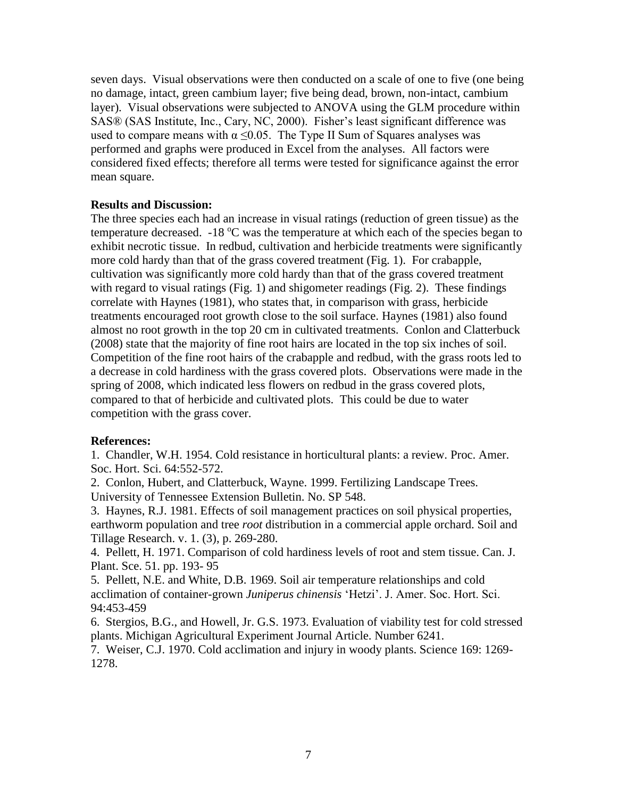seven days. Visual observations were then conducted on a scale of one to five (one being no damage, intact, green cambium layer; five being dead, brown, non-intact, cambium layer). Visual observations were subjected to ANOVA using the GLM procedure within SAS® (SAS Institute, Inc., Cary, NC, 2000). Fisher's least significant difference was used to compare means with  $\alpha \leq 0.05$ . The Type II Sum of Squares analyses was performed and graphs were produced in Excel from the analyses. All factors were considered fixed effects; therefore all terms were tested for significance against the error mean square.

## **Results and Discussion:**

The three species each had an increase in visual ratings (reduction of green tissue) as the temperature decreased.  $-18 \degree C$  was the temperature at which each of the species began to exhibit necrotic tissue. In redbud, cultivation and herbicide treatments were significantly more cold hardy than that of the grass covered treatment (Fig. 1). For crabapple, cultivation was significantly more cold hardy than that of the grass covered treatment with regard to visual ratings (Fig. 1) and shigometer readings (Fig. 2). These findings correlate with Haynes (1981), who states that, in comparison with grass, herbicide treatments encouraged root growth close to the soil surface. Haynes (1981) also found almost no root growth in the top 20 cm in cultivated treatments. Conlon and Clatterbuck (2008) state that the majority of fine root hairs are located in the top six inches of soil. Competition of the fine root hairs of the crabapple and redbud, with the grass roots led to a decrease in cold hardiness with the grass covered plots. Observations were made in the spring of 2008, which indicated less flowers on redbud in the grass covered plots, compared to that of herbicide and cultivated plots. This could be due to water competition with the grass cover.

## **References:**

1. Chandler, W.H. 1954. Cold resistance in horticultural plants: a review. Proc. Amer. Soc. Hort. Sci. 64:552-572.

2. Conlon, Hubert, and Clatterbuck, Wayne. 1999. Fertilizing Landscape Trees. University of Tennessee Extension Bulletin. No. SP 548.

3. Haynes, R.J. 1981. Effects of soil management practices on soil physical properties, earthworm population and tree *root* distribution in a commercial apple orchard. Soil and Tillage Research. v. 1. (3), p. 269-280.

4. Pellett, H. 1971. Comparison of cold hardiness levels of root and stem tissue. Can. J. Plant. Sce. 51. pp. 193- 95

5. Pellett, N.E. and White, D.B. 1969. Soil air temperature relationships and cold acclimation of container-grown *Juniperus chinensis* 'Hetzi'. J. Amer. Soc. Hort. Sci. 94:453-459

6. Stergios, B.G., and Howell, Jr. G.S. 1973. Evaluation of viability test for cold stressed plants. Michigan Agricultural Experiment Journal Article. Number 6241.

7. Weiser, C.J. 1970. Cold acclimation and injury in woody plants. Science 169: 1269- 1278.